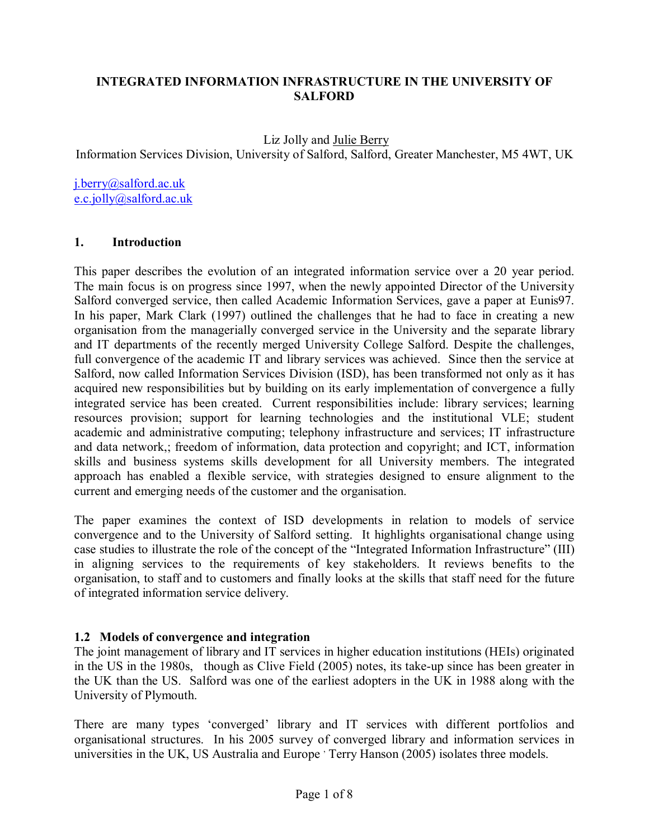### **INTEGRATED INFORMATION INFRASTRUCTURE IN THE UNIVERSITY OF SALFORD**

### Liz Jolly and Julie Berry

Information Services Division, University of Salford, Salford, Greater Manchester, M5 4WT, UK

j.berry@salford.ac.uk e.c.jolly@salford.ac.uk

### **1. Introduction**

This paper describes the evolution of an integrated information service over a 20 year period. The main focus is on progress since 1997, when the newly appointed Director of the University Salford converged service, then called Academic Information Services, gave a paper at Eunis97. In his paper, Mark Clark (1997) outlined the challenges that he had to face in creating a new organisation from the managerially converged service in the University and the separate library and IT departments of the recently merged University College Salford. Despite the challenges, full convergence of the academic IT and library services was achieved. Since then the service at Salford, now called Information Services Division (ISD), has been transformed not only as it has acquired new responsibilities but by building on its early implementation of convergence a fully integrated service has been created. Current responsibilities include: library services; learning resources provision; support for learning technologies and the institutional VLE; student academic and administrative computing; telephony infrastructure and services; IT infrastructure and data network,; freedom of information, data protection and copyright; and ICT, information skills and business systems skills development for all University members. The integrated approach has enabled a flexible service, with strategies designed to ensure alignment to the current and emerging needs of the customer and the organisation.

The paper examines the context of ISD developments in relation to models of service convergence and to the University of Salford setting. It highlights organisational change using case studies to illustrate the role of the concept of the "Integrated Information Infrastructure" (III) in aligning services to the requirements of key stakeholders. It reviews benefits to the organisation, to staff and to customers and finally looks at the skills that staff need for the future of integrated information service delivery.

### **1.2 Models of convergence and integration**

The joint management of library and IT services in higher education institutions (HEIs) originated in the US in the 1980s, though as Clive Field (2005) notes, its take-up since has been greater in the UK than the US. Salford was one of the earliest adopters in the UK in 1988 along with the University of Plymouth.

There are many types 'converged' library and IT services with different portfolios and organisational structures. In his 2005 survey of converged library and information services in universities in the UK, US Australia and Europe ' Terry Hanson (2005) isolates three models.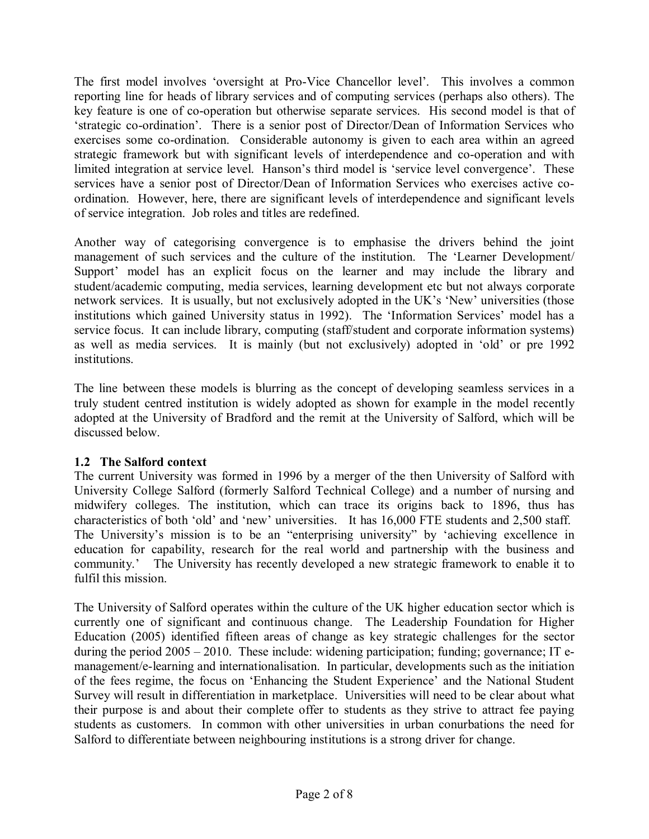The first model involves 'oversight at Pro-Vice Chancellor level'. This involves a common reporting line for heads of library services and of computing services (perhaps also others). The key feature is one of co-operation but otherwise separate services. His second model is that of 'strategic co-ordination'. There is a senior post of Director/Dean of Information Services who exercises some co-ordination. Considerable autonomy is given to each area within an agreed strategic framework but with significant levels of interdependence and co-operation and with limited integration at service level. Hanson's third model is 'service level convergence'. These services have a senior post of Director/Dean of Information Services who exercises active coordination. However, here, there are significant levels of interdependence and significant levels of service integration. Job roles and titles are redefined.

Another way of categorising convergence is to emphasise the drivers behind the joint management of such services and the culture of the institution. The 'Learner Development/ Support' model has an explicit focus on the learner and may include the library and student/academic computing, media services, learning development etc but not always corporate network services. It is usually, but not exclusively adopted in the UK's 'New' universities (those institutions which gained University status in 1992). The 'Information Services' model has a service focus. It can include library, computing (staff/student and corporate information systems) as well as media services. It is mainly (but not exclusively) adopted in 'old' or pre 1992 institutions.

The line between these models is blurring as the concept of developing seamless services in a truly student centred institution is widely adopted as shown for example in the model recently adopted at the University of Bradford and the remit at the University of Salford, which will be discussed below.

### **1.2 The Salford context**

The current University was formed in 1996 by a merger of the then University of Salford with University College Salford (formerly Salford Technical College) and a number of nursing and midwifery colleges. The institution, which can trace its origins back to 1896, thus has characteristics of both 'old' and 'new' universities. It has 16,000 FTE students and 2,500 staff. The University's mission is to be an "enterprising university" by 'achieving excellence in education for capability, research for the real world and partnership with the business and community.' The University has recently developed a new strategic framework to enable it to fulfil this mission.

The University of Salford operates within the culture of the UK higher education sector which is currently one of significant and continuous change. The Leadership Foundation for Higher Education (2005) identified fifteen areas of change as key strategic challenges for the sector during the period  $2005 - 2010$ . These include: widening participation; funding; governance; IT emanagement/e-learning and internationalisation. In particular, developments such as the initiation of the fees regime, the focus on 'Enhancing the Student Experience' and the National Student Survey will result in differentiation in marketplace. Universities will need to be clear about what their purpose is and about their complete offer to students as they strive to attract fee paying students as customers. In common with other universities in urban conurbations the need for Salford to differentiate between neighbouring institutions is a strong driver for change.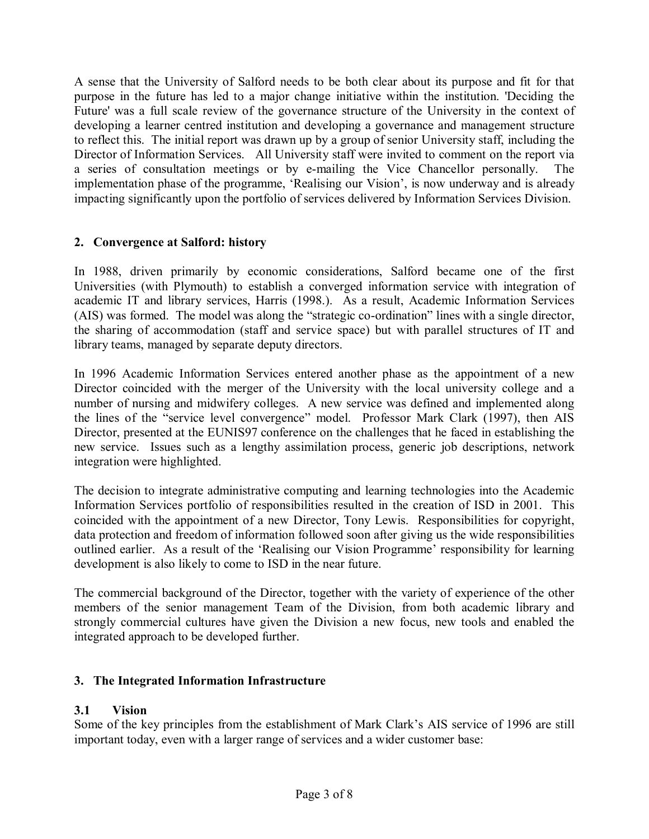A sense that the University of Salford needs to be both clear about its purpose and fit for that purpose in the future has led to a major change initiative within the institution. 'Deciding the Future' was a full scale review of the governance structure of the University in the context of developing a learner centred institution and developing a governance and management structure to reflect this. The initial report was drawn up by a group of senior University staff, including the Director of Information Services. All University staff were invited to comment on the report via a series of consultation meetings or by e-mailing the Vice Chancellor personally. The implementation phase of the programme, Realising our Vision', is now underway and is already impacting significantly upon the portfolio of services delivered by Information Services Division.

## **2. Convergence at Salford: history**

In 1988, driven primarily by economic considerations, Salford became one of the first Universities (with Plymouth) to establish a converged information service with integration of academic IT and library services, Harris (1998.). As a result, Academic Information Services  $(AIS)$  was formed. The model was along the "strategic co-ordination" lines with a single director, the sharing of accommodation (staff and service space) but with parallel structures of IT and library teams, managed by separate deputy directors.

In 1996 Academic Information Services entered another phase as the appointment of a new Director coincided with the merger of the University with the local university college and a number of nursing and midwifery colleges. A new service was defined and implemented along the lines of the "service level convergence" model. Professor Mark Clark (1997), then AIS Director, presented at the EUNIS97 conference on the challenges that he faced in establishing the new service. Issues such as a lengthy assimilation process, generic job descriptions, network integration were highlighted.

The decision to integrate administrative computing and learning technologies into the Academic Information Services portfolio of responsibilities resulted in the creation of ISD in 2001. This coincided with the appointment of a new Director, Tony Lewis. Responsibilities for copyright, data protection and freedom of information followed soon after giving us the wide responsibilities outlined earlier. As a result of the 'Realising our Vision Programme' responsibility for learning development is also likely to come to ISD in the near future.

The commercial background of the Director, together with the variety of experience of the other members of the senior management Team of the Division, from both academic library and strongly commercial cultures have given the Division a new focus, new tools and enabled the integrated approach to be developed further.

### **3. The Integrated Information Infrastructure**

### **3.1 Vision**

Some of the key principles from the establishment of Mark Clark's AIS service of 1996 are still important today, even with a larger range of services and a wider customer base: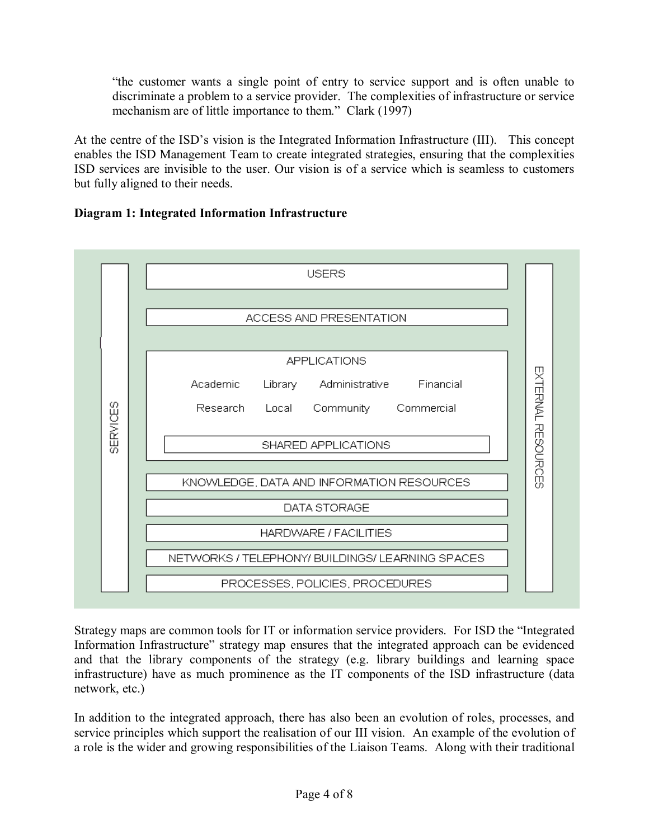"the customer wants a single point of entry to service support and is often unable to discriminate a problem to a service provider. The complexities of infrastructure or service mechanism are of little importance to them." Clark (1997)

At the centre of the ISD's vision is the Integrated Information Infrastructure (III). This concept enables the ISD Management Team to create integrated strategies, ensuring that the complexities ISD services are invisible to the user. Our vision is of a service which is seamless to customers but fully aligned to their needs.

## **Diagram 1: Integrated Information Infrastructure**



Strategy maps are common tools for IT or information service providers. For ISD the "Integrated" Information Infrastructure" strategy map ensures that the integrated approach can be evidenced and that the library components of the strategy (e.g. library buildings and learning space infrastructure) have as much prominence as the IT components of the ISD infrastructure (data network, etc.)

In addition to the integrated approach, there has also been an evolution of roles, processes, and service principles which support the realisation of our III vision. An example of the evolution of a role is the wider and growing responsibilities of the Liaison Teams. Along with their traditional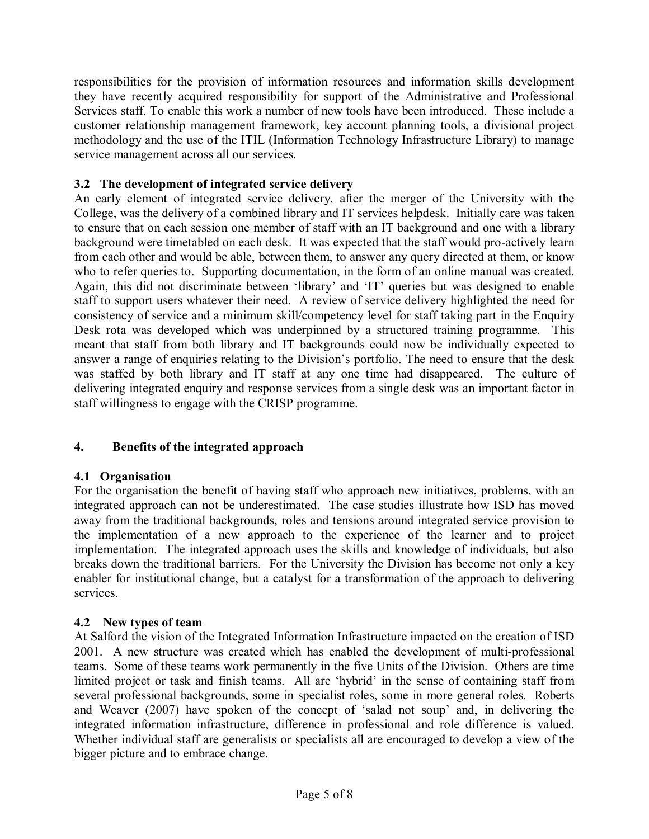responsibilities for the provision of information resources and information skills development they have recently acquired responsibility for support of the Administrative and Professional Services staff. To enable this work a number of new tools have been introduced. These include a customer relationship management framework, key account planning tools, a divisional project methodology and the use of the ITIL (Information Technology Infrastructure Library) to manage service management across all our services.

## **3.2 The development of integrated service delivery**

An early element of integrated service delivery, after the merger of the University with the College, was the delivery of a combined library and IT services helpdesk. Initially care was taken to ensure that on each session one member of staff with an IT background and one with a library background were timetabled on each desk. It was expected that the staff would pro-actively learn from each other and would be able, between them, to answer any query directed at them, or know who to refer queries to. Supporting documentation, in the form of an online manual was created. Again, this did not discriminate between 'library' and 'IT' queries but was designed to enable staff to support users whatever their need. A review of service delivery highlighted the need for consistency of service and a minimum skill/competency level for staff taking part in the Enquiry Desk rota was developed which was underpinned by a structured training programme. This meant that staff from both library and IT backgrounds could now be individually expected to answer a range of enquiries relating to the Division's portfolio. The need to ensure that the desk was staffed by both library and IT staff at any one time had disappeared. The culture of delivering integrated enquiry and response services from a single desk was an important factor in staff willingness to engage with the CRISP programme.

# **4. Benefits of the integrated approach**

### **4.1 Organisation**

For the organisation the benefit of having staff who approach new initiatives, problems, with an integrated approach can not be underestimated. The case studies illustrate how ISD has moved away from the traditional backgrounds, roles and tensions around integrated service provision to the implementation of a new approach to the experience of the learner and to project implementation. The integrated approach uses the skills and knowledge of individuals, but also breaks down the traditional barriers. For the University the Division has become not only a key enabler for institutional change, but a catalyst for a transformation of the approach to delivering services.

### **4.2 New types of team**

At Salford the vision of the Integrated Information Infrastructure impacted on the creation of ISD 2001. A new structure was created which has enabled the development of multi-professional teams. Some of these teams work permanently in the five Units of the Division. Others are time limited project or task and finish teams. All are 'hybrid' in the sense of containing staff from several professional backgrounds, some in specialist roles, some in more general roles. Roberts and Weaver (2007) have spoken of the concept of 'salad not soup' and, in delivering the integrated information infrastructure, difference in professional and role difference is valued. Whether individual staff are generalists or specialists all are encouraged to develop a view of the bigger picture and to embrace change.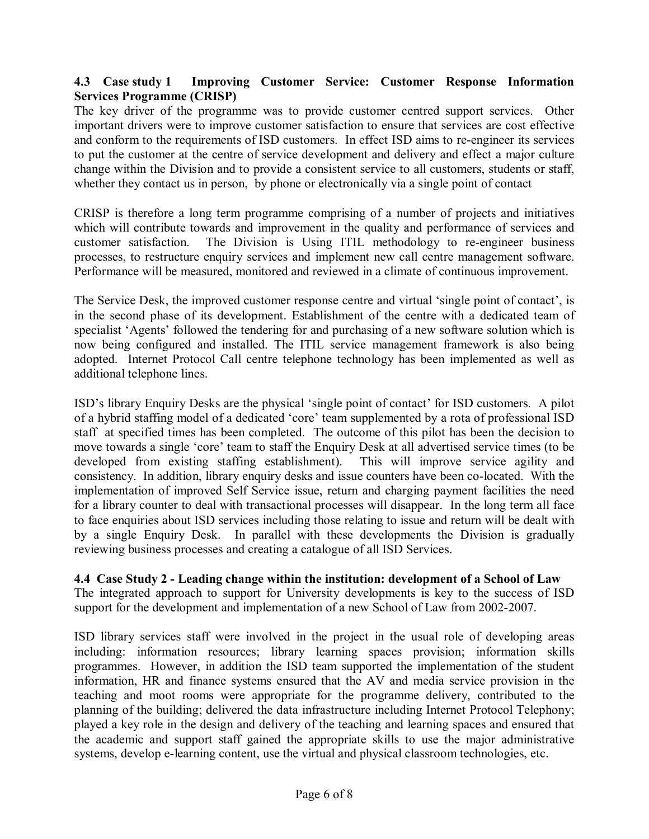### **4.3 Case study 1 Improving Customer Service: Customer Response Information Services Programme (CRISP)**

The key driver of the programme was to provide customer centred support services. Other important drivers were to improve customer satisfaction to ensure that services are cost effective and conform to the requirements of ISD customers. In effect ISD aims to re-engineer its services to put the customer at the centre of service development and delivery and effect a major culture change within the Division and to provide a consistent service to all customers, students or staff, whether they contact us in person, by phone or electronically via a single point of contact

CRISP is therefore a long term programme comprising of a number of projects and initiatives which will contribute towards and improvement in the quality and performance of services and customer satisfaction. The Division is Using ITIL methodology to re-engineer business processes, to restructure enquiry services and implement new call centre management software. Performance will be measured, monitored and reviewed in a climate of continuous improvement.

The Service Desk, the improved customer response centre and virtual 'single point of contact', is in the second phase of its development. Establishment of the centre with a dedicated team of specialist 'Agents' followed the tendering for and purchasing of a new software solution which is now being configured and installed. The ITIL service management framework is also being adopted. Internet Protocol Call centre telephone technology has been implemented as well as additional telephone lines.

ISD's library Enquiry Desks are the physical 'single point of contact' for ISD customers. A pilot of a hybrid staffing model of a dedicated 'core' team supplemented by a rota of professional ISD staff at specified times has been completed. The outcome of this pilot has been the decision to move towards a single 'core' team to staff the Enquiry Desk at all advertised service times (to be developed from existing staffing establishment). This will improve service agility and consistency. In addition, library enquiry desks and issue counters have been co-located. With the implementation of improved Self Service issue, return and charging payment facilities the need for a library counter to deal with transactional processes will disappear. In the long term all face to face enquiries about ISD services including those relating to issue and return will be dealt with by a single Enquiry Desk. In parallel with these developments the Division is gradually reviewing business processes and creating a catalogue of all ISD Services.

**4.4 Case Study 2 - Leading change within the institution: development of a School of Law**  The integrated approach to support for University developments is key to the success of ISD support for the development and implementation of a new School of Law from 2002-2007.

ISD library services staff were involved in the project in the usual role of developing areas including: information resources; library learning spaces provision; information skills programmes. However, in addition the ISD team supported the implementation of the student information, HR and finance systems ensured that the AV and media service provision in the teaching and moot rooms were appropriate for the programme delivery, contributed to the planning of the building; delivered the data infrastructure including Internet Protocol Telephony; played a key role in the design and delivery of the teaching and learning spaces and ensured that the academic and support staff gained the appropriate skills to use the major administrative systems, develop e-learning content, use the virtual and physical classroom technologies, etc.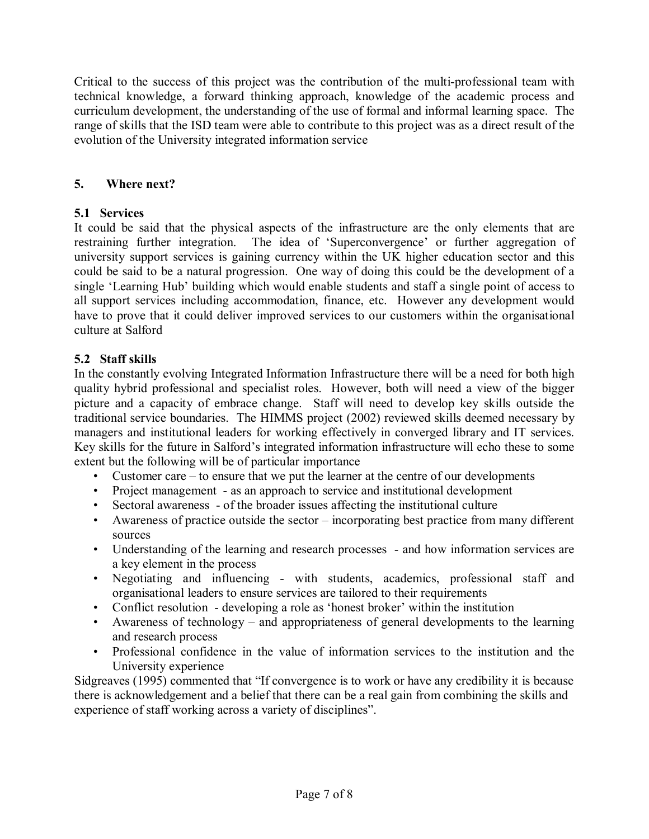Critical to the success of this project was the contribution of the multi-professional team with technical knowledge, a forward thinking approach, knowledge of the academic process and curriculum development, the understanding of the use of formal and informal learning space. The range of skills that the ISD team were able to contribute to this project was as a direct result of the evolution of the University integrated information service

### **5. Where next?**

## **5.1 Services**

It could be said that the physical aspects of the infrastructure are the only elements that are restraining further integration. The idea of 'Superconvergence' or further aggregation of university support services is gaining currency within the UK higher education sector and this could be said to be a natural progression. One way of doing this could be the development of a single 'Learning Hub' building which would enable students and staff a single point of access to all support services including accommodation, finance, etc. However any development would have to prove that it could deliver improved services to our customers within the organisational culture at Salford

# **5.2 Staff skills**

In the constantly evolving Integrated Information Infrastructure there will be a need for both high quality hybrid professional and specialist roles. However, both will need a view of the bigger picture and a capacity of embrace change. Staff will need to develop key skills outside the traditional service boundaries. The HIMMS project (2002) reviewed skills deemed necessary by managers and institutional leaders for working effectively in converged library and IT services. Key skills for the future in Salford's integrated information infrastructure will echo these to some extent but the following will be of particular importance

- Customer care  $-$  to ensure that we put the learner at the centre of our developments
- Project management as an approach to service and institutional development
- Sectoral awareness of the broader issues affecting the institutional culture
- Awareness of practice outside the sector  $-$  incorporating best practice from many different sources
- Understanding of the learning and research processes and how information services are a key element in the process
- Negotiating and influencing with students, academics, professional staff and organisational leaders to ensure services are tailored to their requirements
- Conflict resolution developing a role as 'honest broker' within the institution
- $\bullet$  Awareness of technology and appropriateness of general developments to the learning and research process
- Professional confidence in the value of information services to the institution and the University experience

Sidgreaves (1995) commented that "If convergence is to work or have any credibility it is because there is acknowledgement and a belief that there can be a real gain from combining the skills and experience of staff working across a variety of disciplines".